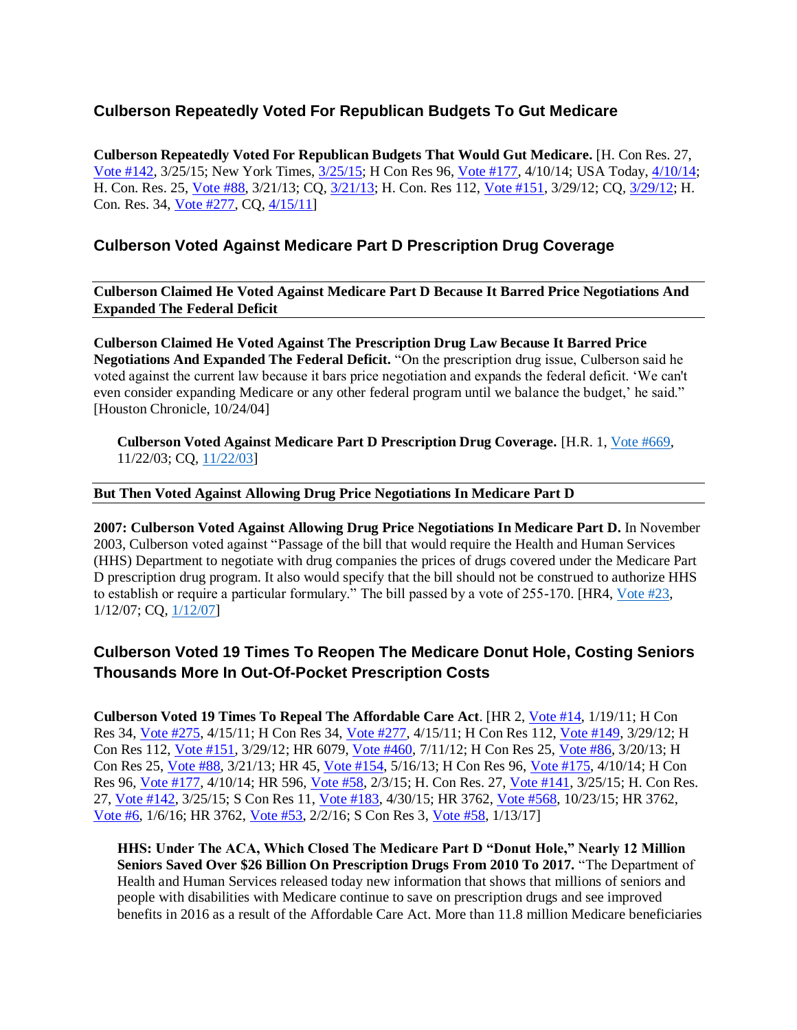## **Culberson Repeatedly Voted For Republican Budgets To Gut Medicare**

**Culberson Repeatedly Voted For Republican Budgets That Would Gut Medicare.** [H. Con Res. 27, [Vote #142,](http://clerk.house.gov/evs/2015/roll142.xml) 3/25/15; New York Times, [3/25/15;](http://www.nytimes.com/2015/03/26/us/politics/increased-military-spending-wins-out-after-dueling-budget-votes-in-house.html?ref=politics&_r=0) H Con Res 96, [Vote #177,](http://clerk.house.gov/evs/2014/roll177.xml) 4/10/14; USA Today, [4/10/14;](https://www.usatoday.com/story/news/politics/2014/04/10/house-ryan-budget/7544705/) H. Con. Res. 25, [Vote #88,](http://clerk.house.gov/evs/2013/roll088.xml) 3/21/13; CQ, [3/21/13;](http://www.cq.com/vote/2013/H/88?1) H. Con. Res 112, [Vote #151,](http://clerk.house.gov/evs/2012/roll151.xml) 3/29/12; CQ, [3/29/12;](http://www.cq.com/vote/2012/H/151?8) H. Con. Res. 34, [Vote #277,](http://clerk.house.gov/evs/2011/roll277.xml) CQ, [4/15/11\]](http://www.cq.com/vote/2011/H/277?12)

## **Culberson Voted Against Medicare Part D Prescription Drug Coverage**

**Culberson Claimed He Voted Against Medicare Part D Because It Barred Price Negotiations And Expanded The Federal Deficit**

**Culberson Claimed He Voted Against The Prescription Drug Law Because It Barred Price Negotiations And Expanded The Federal Deficit.** "On the prescription drug issue, Culberson said he voted against the current law because it bars price negotiation and expands the federal deficit. 'We can't even consider expanding Medicare or any other federal program until we balance the budget,' he said." [Houston Chronicle,  $10/24/04$ ]

**Culberson Voted Against Medicare Part D Prescription Drug Coverage.** [H.R. 1, [Vote #669,](http://clerk.house.gov/evs/2003/roll669.xml)  11/22/03; CQ, [11/22/03\]](http://www.cq.com/vote/2003/H/669?2)

## **But Then Voted Against Allowing Drug Price Negotiations In Medicare Part D**

**2007: Culberson Voted Against Allowing Drug Price Negotiations In Medicare Part D.** In November 2003, Culberson voted against "Passage of the bill that would require the Health and Human Services (HHS) Department to negotiate with drug companies the prices of drugs covered under the Medicare Part D prescription drug program. It also would specify that the bill should not be construed to authorize HHS to establish or require a particular formulary." The bill passed by a vote of 255-170. [HR4[, Vote #23,](http://clerk.house.gov/evs/2007/roll023.xml) 1/12/07; CQ, [1/12/07\]](http://www.cq.com/vote/2007/h/23)

## **Culberson Voted 19 Times To Reopen The Medicare Donut Hole, Costing Seniors Thousands More In Out-Of-Pocket Prescription Costs**

**Culberson Voted 19 Times To Repeal The Affordable Care Act**. [HR 2, [Vote #14,](http://clerk.house.gov/evs/2011/roll014.xml) 1/19/11; H Con Res 34, [Vote #275,](http://clerk.house.gov/evs/2011/roll275.xml) 4/15/11; H Con Res 34, [Vote #277,](http://clerk.house.gov/evs/2011/roll277.xml) 4/15/11; H Con Res 112, [Vote #149,](http://clerk.house.gov/evs/2012/roll149.xml) 3/29/12; H Con Res 112, [Vote #151,](http://clerk.house.gov/evs/2012/roll151.xml) 3/29/12; HR 6079, [Vote #460,](http://clerk.house.gov/evs/2012/roll460.xml) 7/11/12; H Con Res 25, [Vote #86,](http://clerk.house.gov/evs/2013/roll086.xml) 3/20/13; H Con Res 25, [Vote #88,](http://clerk.house.gov/evs/2013/roll088.xml) 3/21/13; HR 45, [Vote #154,](http://clerk.house.gov/evs/2013/roll154.xml) 5/16/13; H Con Res 96, [Vote #175,](http://clerk.house.gov/evs/2014/roll175.xml) 4/10/14; H Con Res 96, [Vote #177,](http://clerk.house.gov/evs/2014/roll177.xml) 4/10/14; HR 596, [Vote #58,](http://clerk.house.gov/evs/2015/roll058.xml) 2/3/15; H. Con Res. 27, [Vote #141,](http://clerk.house.gov/evs/2015/roll141.xml) 3/25/15; H. Con Res. 27, [Vote #142,](http://clerk.house.gov/evs/2015/roll142.xml) 3/25/15; S Con Res 11, [Vote #183,](http://clerk.house.gov/evs/2015/roll183.xml) 4/30/15; HR 3762, [Vote #568,](http://clerk.house.gov/evs/2015/roll568.xml) 10/23/15; HR 3762, [Vote #6,](http://clerk.house.gov/evs/2016/roll006.xml) 1/6/16; HR 3762, [Vote #53,](http://clerk.house.gov/evs/2016/roll053.xml) 2/2/16; S Con Res 3, [Vote](http://clerk.house.gov/evs/2017/roll058.xml) #58, 1/13/17]

**HHS: Under The ACA, Which Closed The Medicare Part D "Donut Hole," Nearly 12 Million Seniors Saved Over \$26 Billion On Prescription Drugs From 2010 To 2017.** "The Department of Health and Human Services released today new information that shows that millions of seniors and people with disabilities with Medicare continue to save on prescription drugs and see improved benefits in 2016 as a result of the Affordable Care Act. More than 11.8 million Medicare beneficiaries